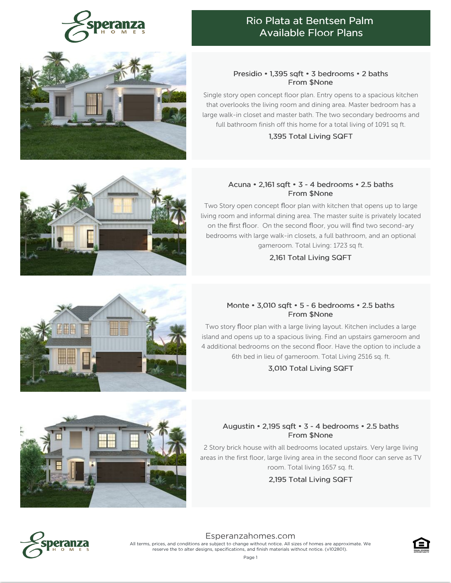



## Presidio • 1,395 sqft • 3 bedrooms • 2 baths From \$None

Single story open concept floor plan. Entry opens to a spacious kitchen that overlooks the living room and dining area. Master bedroom has a large walk-in closet and master bath. The two secondary bedrooms and full bathroom finish off this home for a total living of 1091 sq ft.

#### 1,395 Total Living SQFT

## Acuna • 2,161 sqft • 3 - 4 bedrooms • 2.5 baths From \$None

Two Story open concept floor plan with kitchen that opens up to large living room and informal dining area. The master suite is privately located on the first floor. On the second floor, you will find two second-ary bedrooms with large walk-in closets, a full bathroom, and an optional gameroom. Total Living: 1723 sq ft.

## 2,161 Total Living SQFT

# Monte • 3,010 sqft • 5 - 6 bedrooms • 2.5 baths From \$None

Two story floor plan with a large living layout. Kitchen includes a large island and opens up to a spacious living. Find an upstairs gameroom and 4 additional bedrooms on the second floor. Have the option to include a 6th bed in lieu of gameroom. Total Living 2516 sq. ft.

3,010 Total Living SQFT

# Augustin • 2,195 sqft • 3 - 4 bedrooms • 2.5 baths From \$None

2 Story brick house with all bedrooms located upstairs. Very large living areas in the first floor, large living area in the second floor can serve as TV room. Total living 1657 sq. ft.

2,195 Total Living SQFT



[Esperanzahomes.com](https://www.esperanzahomes.com) All terms, prices, and conditions are subject to change without notice. All sizes of homes are approximate. We reserve the to alter designs, specifications, and finish materials without notice. (v102801).